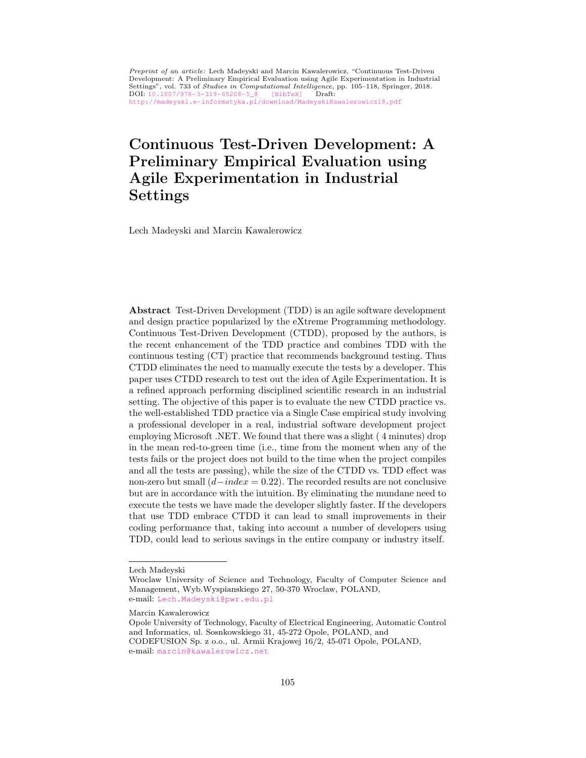Preprint of an article: Lech Madeyski and Marcin Kawalerowicz, "Continuous Test-Driven Development: A Preliminary Empirical Evaluation using Agile Experimentation in Industrial Settings", vol. 733 of *Studies in Computational Intelligence*, pp. 105–118, Springer, 2018.<br>DOI: [10.1007/978-3-319-65208-5\\_8](http://dx.doi.org/10.1007/978-3-319-65208-5_8) [\[BibTeX\]](http://madeyski.e-informatyka.pl/download/MadeyskiRefs.bib) Draft: <http://madeyski.e-informatyka.pl/download/MadeyskiKawalerowicz18.pdf>

# Continuous Test-Driven Development: A Preliminary Empirical Evaluation using Agile Experimentation in Industrial Settings

Lech Madeyski and Marcin Kawalerowicz

Abstract Test-Driven Development (TDD) is an agile software development and design practice popularized by the eXtreme Programming methodology. Continuous Test-Driven Development (CTDD), proposed by the authors, is the recent enhancement of the TDD practice and combines TDD with the continuous testing (CT) practice that recommends background testing. Thus CTDD eliminates the need to manually execute the tests by a developer. This paper uses CTDD research to test out the idea of Agile Experimentation. It is a refined approach performing disciplined scientific research in an industrial setting. The objective of this paper is to evaluate the new CTDD practice vs. the well-established TDD practice via a Single Case empirical study involving a professional developer in a real, industrial software development project employing Microsoft .NET. We found that there was a slight ( 4 minutes) drop in the mean red-to-green time (i.e., time from the moment when any of the tests fails or the project does not build to the time when the project compiles and all the tests are passing), while the size of the CTDD vs. TDD effect was non-zero but small  $(d-index = 0.22)$ . The recorded results are not conclusive but are in accordance with the intuition. By eliminating the mundane need to execute the tests we have made the developer slightly faster. If the developers that use TDD embrace CTDD it can lead to small improvements in their coding performance that, taking into account a number of developers using TDD, could lead to serious savings in the entire company or industry itself.

Lech Madeyski

Wroclaw University of Science and Technology, Faculty of Computer Science and Management, Wyb.Wyspianskiego 27, 50-370 Wroclaw, POLAND, e-mail: <Lech.Madeyski@pwr.edu.pl>

Marcin Kawalerowicz

Opole University of Technology, Faculty of Electrical Engineering, Automatic Control and Informatics, ul. Sosnkowskiego 31, 45-272 Opole, POLAND, and CODEFUSION Sp. z o.o., ul. Armii Krajowej 16/2, 45-071 Opole, POLAND, e-mail: <marcin@kawalerowicz.net>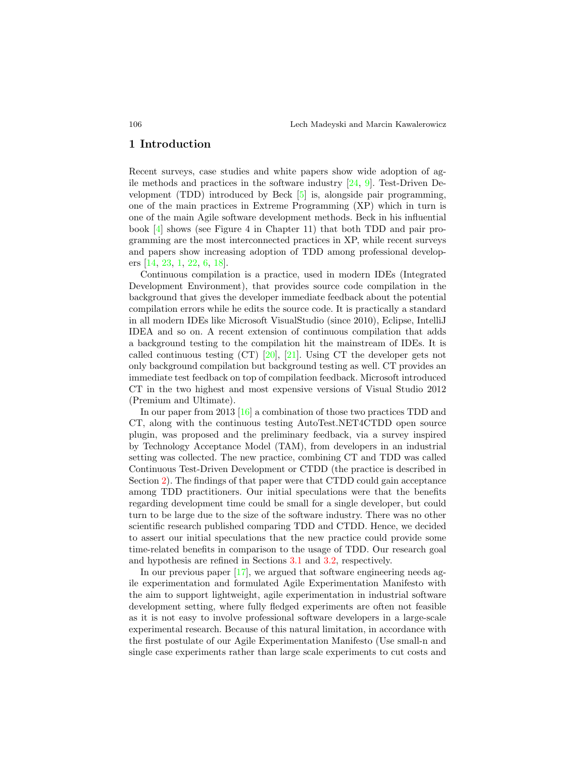#### 1 Introduction

Recent surveys, case studies and white papers show wide adoption of agile methods and practices in the software industry [\[24,](#page-13-0) [9\]](#page-12-0). Test-Driven Development (TDD) introduced by Beck [\[5\]](#page-12-1) is, alongside pair programming, one of the main practices in Extreme Programming (XP) which in turn is one of the main Agile software development methods. Beck in his influential book [\[4\]](#page-12-2) shows (see Figure 4 in Chapter 11) that both TDD and pair programming are the most interconnected practices in XP, while recent surveys and papers show increasing adoption of TDD among professional developers [\[14,](#page-13-1) [23,](#page-13-2) [1,](#page-12-3) [22,](#page-13-3) [6,](#page-12-4) [18\]](#page-13-4).

Continuous compilation is a practice, used in modern IDEs (Integrated Development Environment), that provides source code compilation in the background that gives the developer immediate feedback about the potential compilation errors while he edits the source code. It is practically a standard in all modern IDEs like Microsoft VisualStudio (since 2010), Eclipse, IntelliJ IDEA and so on. A recent extension of continuous compilation that adds a background testing to the compilation hit the mainstream of IDEs. It is called continuous testing (CT) [\[20\]](#page-13-5), [\[21\]](#page-13-6). Using CT the developer gets not only background compilation but background testing as well. CT provides an immediate test feedback on top of compilation feedback. Microsoft introduced CT in the two highest and most expensive versions of Visual Studio 2012 (Premium and Ultimate).

In our paper from 2013 [\[16\]](#page-13-7) a combination of those two practices TDD and CT, along with the continuous testing AutoTest.NET4CTDD open source plugin, was proposed and the preliminary feedback, via a survey inspired by Technology Acceptance Model (TAM), from developers in an industrial setting was collected. The new practice, combining CT and TDD was called Continuous Test-Driven Development or CTDD (the practice is described in Section [2\)](#page-2-0). The findings of that paper were that CTDD could gain acceptance among TDD practitioners. Our initial speculations were that the benefits regarding development time could be small for a single developer, but could turn to be large due to the size of the software industry. There was no other scientific research published comparing TDD and CTDD. Hence, we decided to assert our initial speculations that the new practice could provide some time-related benefits in comparison to the usage of TDD. Our research goal and hypothesis are refined in Sections [3.1](#page-3-0) and [3.2,](#page-4-0) respectively.

In our previous paper [\[17\]](#page-13-8), we argued that software engineering needs agile experimentation and formulated Agile Experimentation Manifesto with the aim to support lightweight, agile experimentation in industrial software development setting, where fully fledged experiments are often not feasible as it is not easy to involve professional software developers in a large-scale experimental research. Because of this natural limitation, in accordance with the first postulate of our Agile Experimentation Manifesto (Use small-n and single case experiments rather than large scale experiments to cut costs and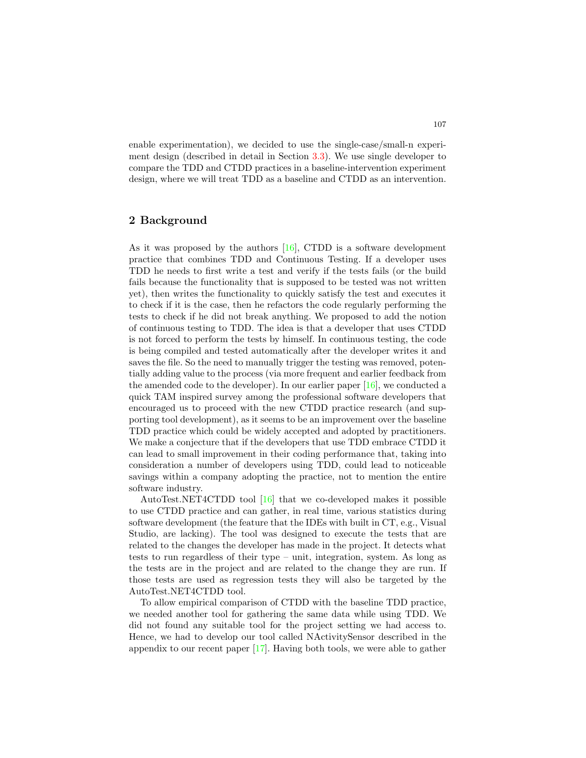enable experimentation), we decided to use the single-case/small-n experiment design (described in detail in Section [3.3\)](#page-4-1). We use single developer to compare the TDD and CTDD practices in a baseline-intervention experiment design, where we will treat TDD as a baseline and CTDD as an intervention.

### <span id="page-2-0"></span>2 Background

As it was proposed by the authors  $[16]$ , CTDD is a software development practice that combines TDD and Continuous Testing. If a developer uses TDD he needs to first write a test and verify if the tests fails (or the build fails because the functionality that is supposed to be tested was not written yet), then writes the functionality to quickly satisfy the test and executes it to check if it is the case, then he refactors the code regularly performing the tests to check if he did not break anything. We proposed to add the notion of continuous testing to TDD. The idea is that a developer that uses CTDD is not forced to perform the tests by himself. In continuous testing, the code is being compiled and tested automatically after the developer writes it and saves the file. So the need to manually trigger the testing was removed, potentially adding value to the process (via more frequent and earlier feedback from the amended code to the developer). In our earlier paper  $[16]$ , we conducted a quick TAM inspired survey among the professional software developers that encouraged us to proceed with the new CTDD practice research (and supporting tool development), as it seems to be an improvement over the baseline TDD practice which could be widely accepted and adopted by practitioners. We make a conjecture that if the developers that use TDD embrace CTDD it can lead to small improvement in their coding performance that, taking into consideration a number of developers using TDD, could lead to noticeable savings within a company adopting the practice, not to mention the entire software industry.

AutoTest.NET4CTDD tool [\[16\]](#page-13-7) that we co-developed makes it possible to use CTDD practice and can gather, in real time, various statistics during software development (the feature that the IDEs with built in CT, e.g., Visual Studio, are lacking). The tool was designed to execute the tests that are related to the changes the developer has made in the project. It detects what tests to run regardless of their type – unit, integration, system. As long as the tests are in the project and are related to the change they are run. If those tests are used as regression tests they will also be targeted by the AutoTest.NET4CTDD tool.

To allow empirical comparison of CTDD with the baseline TDD practice, we needed another tool for gathering the same data while using TDD. We did not found any suitable tool for the project setting we had access to. Hence, we had to develop our tool called NActivitySensor described in the appendix to our recent paper [\[17\]](#page-13-8). Having both tools, we were able to gather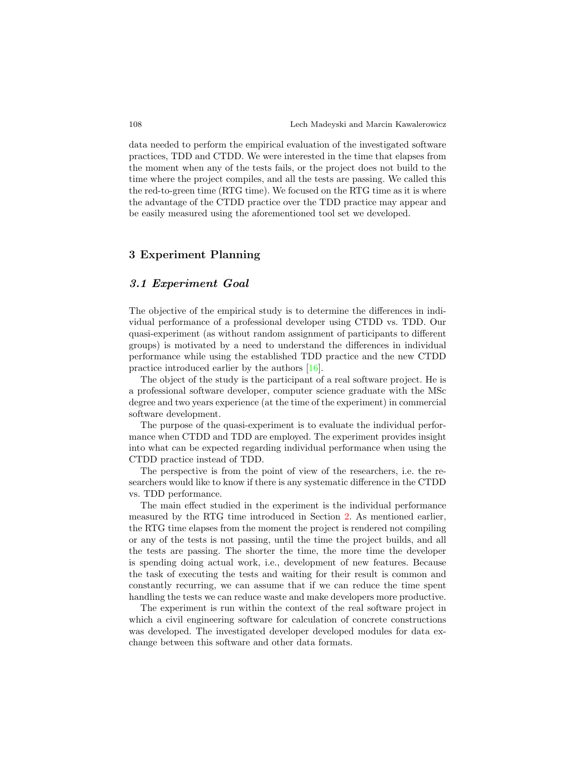data needed to perform the empirical evaluation of the investigated software practices, TDD and CTDD. We were interested in the time that elapses from the moment when any of the tests fails, or the project does not build to the time where the project compiles, and all the tests are passing. We called this the red-to-green time (RTG time). We focused on the RTG time as it is where the advantage of the CTDD practice over the TDD practice may appear and be easily measured using the aforementioned tool set we developed.

# 3 Experiment Planning

#### <span id="page-3-0"></span>3.1 Experiment Goal

The objective of the empirical study is to determine the differences in individual performance of a professional developer using CTDD vs. TDD. Our quasi-experiment (as without random assignment of participants to different groups) is motivated by a need to understand the differences in individual performance while using the established TDD practice and the new CTDD practice introduced earlier by the authors [\[16\]](#page-13-7).

The object of the study is the participant of a real software project. He is a professional software developer, computer science graduate with the MSc degree and two years experience (at the time of the experiment) in commercial software development.

The purpose of the quasi-experiment is to evaluate the individual performance when CTDD and TDD are employed. The experiment provides insight into what can be expected regarding individual performance when using the CTDD practice instead of TDD.

The perspective is from the point of view of the researchers, i.e. the researchers would like to know if there is any systematic difference in the CTDD vs. TDD performance.

The main effect studied in the experiment is the individual performance measured by the RTG time introduced in Section [2.](#page-2-0) As mentioned earlier, the RTG time elapses from the moment the project is rendered not compiling or any of the tests is not passing, until the time the project builds, and all the tests are passing. The shorter the time, the more time the developer is spending doing actual work, i.e., development of new features. Because the task of executing the tests and waiting for their result is common and constantly recurring, we can assume that if we can reduce the time spent handling the tests we can reduce waste and make developers more productive.

The experiment is run within the context of the real software project in which a civil engineering software for calculation of concrete constructions was developed. The investigated developer developed modules for data exchange between this software and other data formats.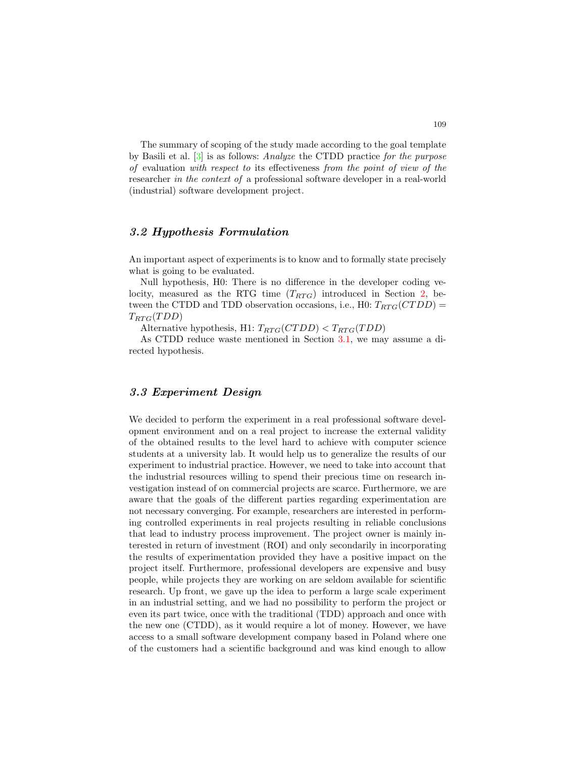The summary of scoping of the study made according to the goal template by Basili et al. [\[3\]](#page-12-5) is as follows: Analyze the CTDD practice for the purpose of evaluation with respect to its effectiveness from the point of view of the researcher in the context of a professional software developer in a real-world (industrial) software development project.

#### <span id="page-4-0"></span>3.2 Hypothesis Formulation

An important aspect of experiments is to know and to formally state precisely what is going to be evaluated.

Null hypothesis, H0: There is no difference in the developer coding velocity, measured as the RTG time  $(T_{RTG})$  introduced in Section [2,](#page-2-0) between the CTDD and TDD observation occasions, i.e., H0:  $T_{RTG}(CTDD)$  =  $T_{RTG}(TDD)$ 

Alternative hypothesis, H1:  $T_{RTG}(CTDD) < T_{RTG}(TDD)$ 

As CTDD reduce waste mentioned in Section [3.1,](#page-3-0) we may assume a directed hypothesis.

#### <span id="page-4-1"></span>3.3 Experiment Design

We decided to perform the experiment in a real professional software development environment and on a real project to increase the external validity of the obtained results to the level hard to achieve with computer science students at a university lab. It would help us to generalize the results of our experiment to industrial practice. However, we need to take into account that the industrial resources willing to spend their precious time on research investigation instead of on commercial projects are scarce. Furthermore, we are aware that the goals of the different parties regarding experimentation are not necessary converging. For example, researchers are interested in performing controlled experiments in real projects resulting in reliable conclusions that lead to industry process improvement. The project owner is mainly interested in return of investment (ROI) and only secondarily in incorporating the results of experimentation provided they have a positive impact on the project itself. Furthermore, professional developers are expensive and busy people, while projects they are working on are seldom available for scientific research. Up front, we gave up the idea to perform a large scale experiment in an industrial setting, and we had no possibility to perform the project or even its part twice, once with the traditional (TDD) approach and once with the new one (CTDD), as it would require a lot of money. However, we have access to a small software development company based in Poland where one of the customers had a scientific background and was kind enough to allow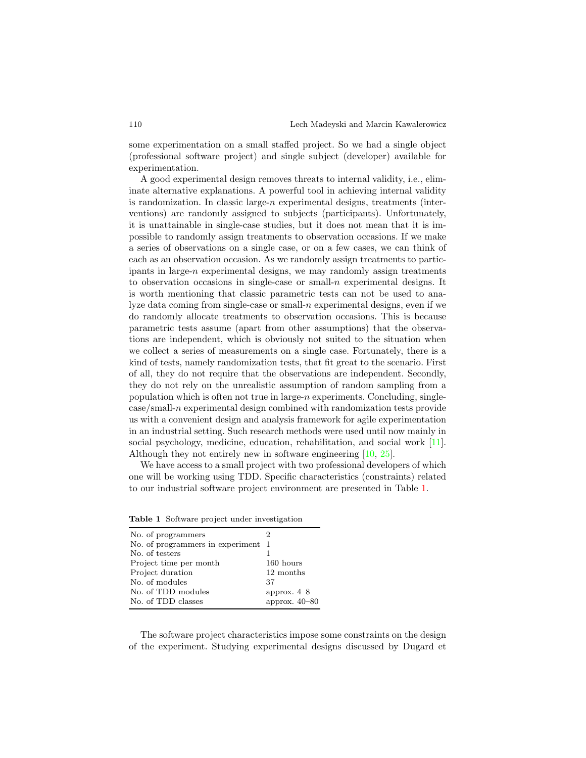some experimentation on a small staffed project. So we had a single object (professional software project) and single subject (developer) available for experimentation.

A good experimental design removes threats to internal validity, i.e., eliminate alternative explanations. A powerful tool in achieving internal validity is randomization. In classic large- $n$  experimental designs, treatments (interventions) are randomly assigned to subjects (participants). Unfortunately, it is unattainable in single-case studies, but it does not mean that it is impossible to randomly assign treatments to observation occasions. If we make a series of observations on a single case, or on a few cases, we can think of each as an observation occasion. As we randomly assign treatments to participants in large-n experimental designs, we may randomly assign treatments to observation occasions in single-case or small- $n$  experimental designs. It is worth mentioning that classic parametric tests can not be used to analyze data coming from single-case or small- $n$  experimental designs, even if we do randomly allocate treatments to observation occasions. This is because parametric tests assume (apart from other assumptions) that the observations are independent, which is obviously not suited to the situation when we collect a series of measurements on a single case. Fortunately, there is a kind of tests, namely randomization tests, that fit great to the scenario. First of all, they do not require that the observations are independent. Secondly, they do not rely on the unrealistic assumption of random sampling from a population which is often not true in large- $n$  experiments. Concluding, single- $\csc/\text{small-}n$  experimental design combined with randomization tests provide us with a convenient design and analysis framework for agile experimentation in an industrial setting. Such research methods were used until now mainly in social psychology, medicine, education, rehabilitation, and social work [\[11\]](#page-12-6). Although they not entirely new in software engineering [\[10,](#page-12-7) [25\]](#page-13-9).

We have access to a small project with two professional developers of which one will be working using TDD. Specific characteristics (constraints) related to our industrial software project environment are presented in Table [1.](#page-5-0)

| No. of programmers                 | 2             |
|------------------------------------|---------------|
| No. of programmers in experiment 1 |               |
| No. of testers                     |               |
| Project time per month             | 160 hours     |
| Project duration                   | 12 months     |
| No. of modules                     | 37            |
| No. of TDD modules                 | approx. $4-8$ |
| No. of TDD classes                 | approx. 40-80 |
|                                    |               |

<span id="page-5-0"></span>

|  |  | Table 1 Software project under investigation |
|--|--|----------------------------------------------|
|  |  |                                              |

The software project characteristics impose some constraints on the design of the experiment. Studying experimental designs discussed by Dugard et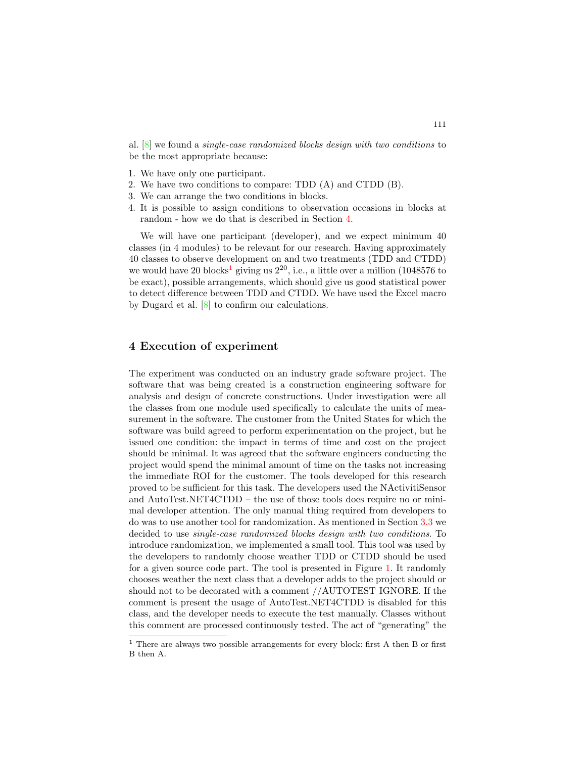al. [\[8\]](#page-12-8) we found a single-case randomized blocks design with two conditions to be the most appropriate because:

- 1. We have only one participant.
- 2. We have two conditions to compare: TDD (A) and CTDD (B).
- 3. We can arrange the two conditions in blocks.
- 4. It is possible to assign conditions to observation occasions in blocks at random - how we do that is described in Section [4.](#page-6-0)

We will have one participant (developer), and we expect minimum 40 classes (in 4 modules) to be relevant for our research. Having approximately 40 classes to observe development on and two treatments (TDD and CTDD) we would have 20 blocks<sup>[1](#page-6-1)</sup> giving us  $2^{20}$ , i.e., a little over a million (1048576 to be exact), possible arrangements, which should give us good statistical power to detect difference between TDD and CTDD. We have used the Excel macro by Dugard et al. [\[8\]](#page-12-8) to confirm our calculations.

#### <span id="page-6-0"></span>4 Execution of experiment

The experiment was conducted on an industry grade software project. The software that was being created is a construction engineering software for analysis and design of concrete constructions. Under investigation were all the classes from one module used specifically to calculate the units of measurement in the software. The customer from the United States for which the software was build agreed to perform experimentation on the project, but he issued one condition: the impact in terms of time and cost on the project should be minimal. It was agreed that the software engineers conducting the project would spend the minimal amount of time on the tasks not increasing the immediate ROI for the customer. The tools developed for this research proved to be sufficient for this task. The developers used the NActivitiSensor and AutoTest.NET4CTDD – the use of those tools does require no or minimal developer attention. The only manual thing required from developers to do was to use another tool for randomization. As mentioned in Section [3.3](#page-4-1) we decided to use single-case randomized blocks design with two conditions. To introduce randomization, we implemented a small tool. This tool was used by the developers to randomly choose weather TDD or CTDD should be used for a given source code part. The tool is presented in Figure [1.](#page-7-0) It randomly chooses weather the next class that a developer adds to the project should or should not to be decorated with a comment //AUTOTEST IGNORE. If the comment is present the usage of AutoTest.NET4CTDD is disabled for this class, and the developer needs to execute the test manually. Classes without this comment are processed continuously tested. The act of "generating" the

<span id="page-6-1"></span><sup>1</sup> There are always two possible arrangements for every block: first A then B or first B then A.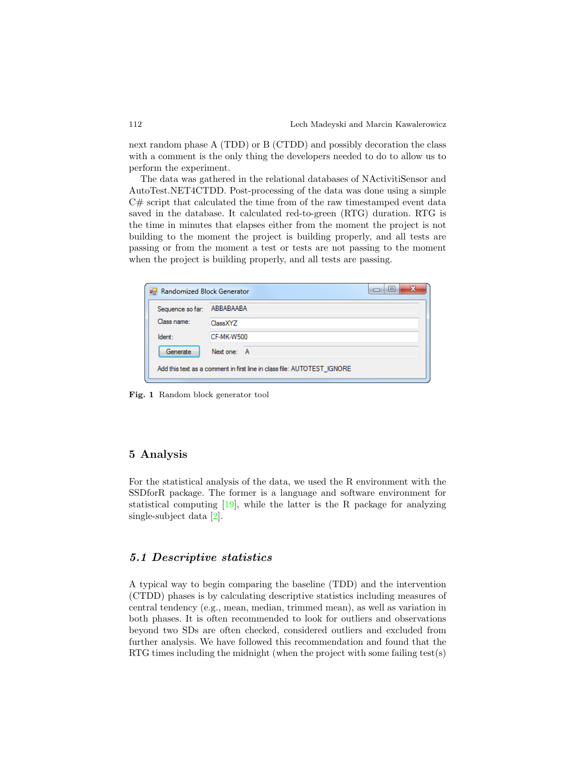next random phase A (TDD) or B (CTDD) and possibly decoration the class with a comment is the only thing the developers needed to do to allow us to perform the experiment.

The data was gathered in the relational databases of NActivitiSensor and AutoTest.NET4CTDD. Post-processing of the data was done using a simple  $C#$  script that calculated the time from of the raw timestamped event data saved in the database. It calculated red-to-green (RTG) duration. RTG is the time in minutes that elapses either from the moment the project is not building to the moment the project is building properly, and all tests are passing or from the moment a test or tests are not passing to the moment when the project is building properly, and all tests are passing.

| Randomized Block Generator                                              | х<br>Ξ            |  |  |
|-------------------------------------------------------------------------|-------------------|--|--|
| Sequence so far:                                                        | ABBABAABA         |  |  |
| Class name:                                                             | Class XY7         |  |  |
| Ident:                                                                  | <b>CF-MK-W500</b> |  |  |
| Generate                                                                | Next one: A       |  |  |
| Add this text as a comment in first line in class file: AUTOTEST IGNORE |                   |  |  |

<span id="page-7-0"></span>Fig. 1 Random block generator tool

#### 5 Analysis

For the statistical analysis of the data, we used the R environment with the SSDforR package. The former is a language and software environment for statistical computing [\[19\]](#page-13-10), while the latter is the R package for analyzing single-subject data [\[2\]](#page-12-9).

### 5.1 Descriptive statistics

A typical way to begin comparing the baseline (TDD) and the intervention (CTDD) phases is by calculating descriptive statistics including measures of central tendency (e.g., mean, median, trimmed mean), as well as variation in both phases. It is often recommended to look for outliers and observations beyond two SDs are often checked, considered outliers and excluded from further analysis. We have followed this recommendation and found that the RTG times including the midnight (when the project with some failing test(s)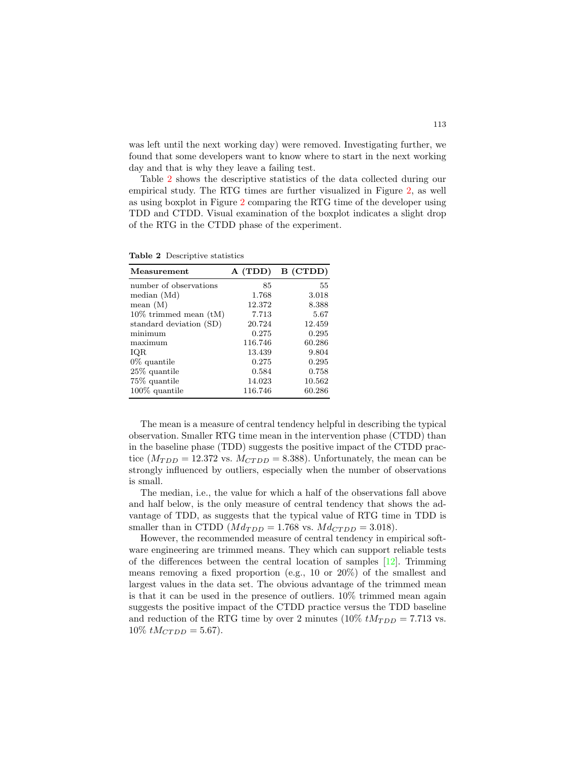was left until the next working day) were removed. Investigating further, we found that some developers want to know where to start in the next working day and that is why they leave a failing test.

Table [2](#page-8-0) shows the descriptive statistics of the data collected during our empirical study. The RTG times are further visualized in Figure [2,](#page-9-0) as well as using boxplot in Figure [2](#page-9-0) comparing the RTG time of the developer using TDD and CTDD. Visual examination of the boxplot indicates a slight drop of the RTG in the CTDD phase of the experiment.

<span id="page-8-0"></span>

|  | <b>Table 2</b> Descriptive statistics |  |
|--|---------------------------------------|--|
|--|---------------------------------------|--|

| Measurement                | A (TDD) | B (CTDD) |
|----------------------------|---------|----------|
| number of observations     | 85      | 55       |
| median (Md)                | 1.768   | 3.018    |
| mean $(M)$                 | 12.372  | 8.388    |
| $10\%$ trimmed mean $(tM)$ | 7.713   | 5.67     |
| standard deviation (SD)    | 20.724  | 12.459   |
| minimum                    | 0.275   | 0.295    |
| maximum                    | 116.746 | 60.286   |
| IQR                        | 13.439  | 9.804    |
| $0\%$ quantile             | 0.275   | 0.295    |
| $25\%$ quantile            | 0.584   | 0.758    |
| 75\% quantile              | 14.023  | 10.562   |
| $100\%$ quantile           | 116.746 | 60.286   |

The mean is a measure of central tendency helpful in describing the typical observation. Smaller RTG time mean in the intervention phase (CTDD) than in the baseline phase (TDD) suggests the positive impact of the CTDD practice  $(M_{TDD} = 12.372 \text{ vs. } M_{CTDD} = 8.388)$ . Unfortunately, the mean can be strongly influenced by outliers, especially when the number of observations is small.

The median, i.e., the value for which a half of the observations fall above and half below, is the only measure of central tendency that shows the advantage of TDD, as suggests that the typical value of RTG time in TDD is smaller than in CTDD ( $Md_{TDD} = 1.768$  vs.  $Md_{CTDD} = 3.018$ ).

However, the recommended measure of central tendency in empirical software engineering are trimmed means. They which can support reliable tests of the differences between the central location of samples  $[12]$ . Trimming means removing a fixed proportion (e.g., 10 or 20%) of the smallest and largest values in the data set. The obvious advantage of the trimmed mean is that it can be used in the presence of outliers. 10% trimmed mean again suggests the positive impact of the CTDD practice versus the TDD baseline and reduction of the RTG time by over 2 minutes ( $10\%$   $tM_{TDD} = 7.713$  vs.  $10\%$  t $M_{CTDD} = 5.67$ .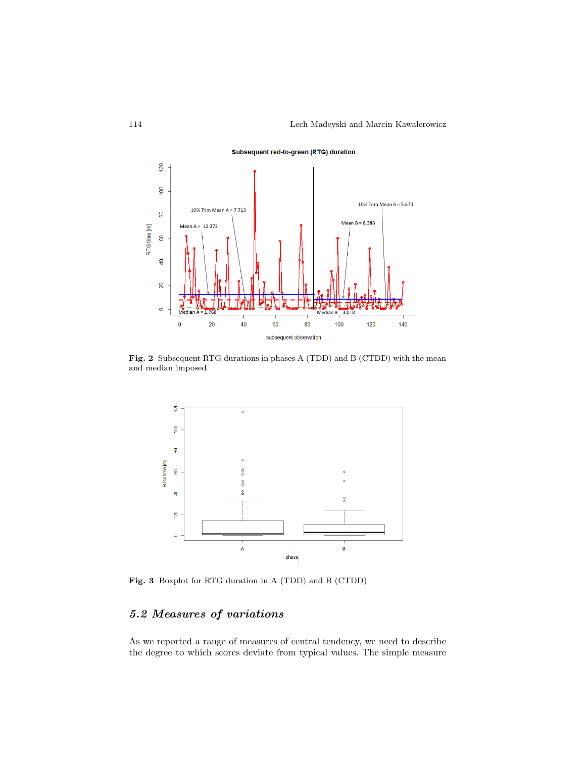

Subsequent red-to-green (RTG) duration

<span id="page-9-0"></span>Fig. 2 Subsequent RTG durations in phases A (TDD) and B (CTDD) with the mean and median imposed



Fig. 3 Boxplot for RTG duration in A (TDD) and B (CTDD)

# 5.2 Measures of variations

As we reported a range of measures of central tendency, we need to describe the degree to which scores deviate from typical values. The simple measure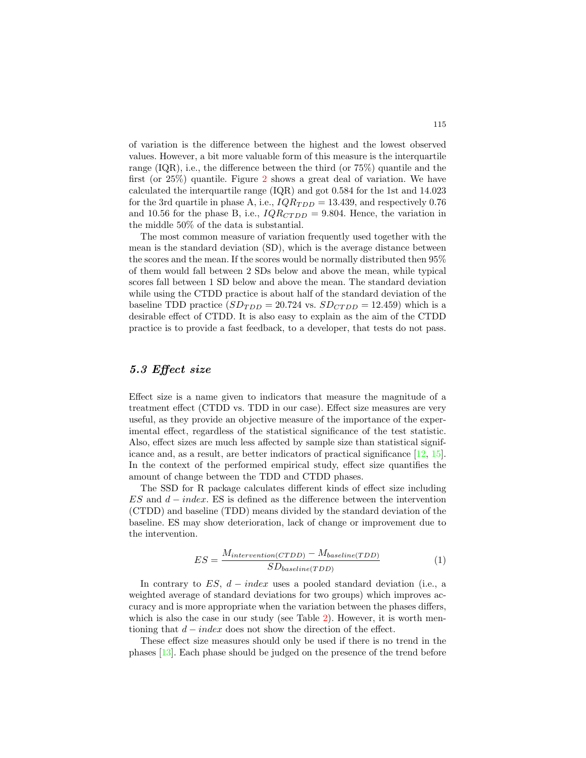of variation is the difference between the highest and the lowest observed values. However, a bit more valuable form of this measure is the interquartile range (IQR), i.e., the difference between the third (or 75%) quantile and the first (or 25%) quantile. Figure [2](#page-9-0) shows a great deal of variation. We have calculated the interquartile range (IQR) and got 0.584 for the 1st and 14.023 for the 3rd quartile in phase A, i.e.,  $IQR_{TDD} = 13.439$ , and respectively 0.76 and 10.56 for the phase B, i.e.,  $IQR_{CTDD} = 9.804$ . Hence, the variation in the middle 50% of the data is substantial.

The most common measure of variation frequently used together with the mean is the standard deviation (SD), which is the average distance between the scores and the mean. If the scores would be normally distributed then 95% of them would fall between 2 SDs below and above the mean, while typical scores fall between 1 SD below and above the mean. The standard deviation while using the CTDD practice is about half of the standard deviation of the baseline TDD practice  $(SD_{TDD} = 20.724 \text{ vs. } SD_{CTDD} = 12.459)$  which is a desirable effect of CTDD. It is also easy to explain as the aim of the CTDD practice is to provide a fast feedback, to a developer, that tests do not pass.

# 5.3 Effect size

Effect size is a name given to indicators that measure the magnitude of a treatment effect (CTDD vs. TDD in our case). Effect size measures are very useful, as they provide an objective measure of the importance of the experimental effect, regardless of the statistical significance of the test statistic. Also, effect sizes are much less affected by sample size than statistical significance and, as a result, are better indicators of practical significance [\[12,](#page-12-10) [15\]](#page-13-11). In the context of the performed empirical study, effect size quantifies the amount of change between the TDD and CTDD phases.

The SSD for R package calculates different kinds of effect size including  $ES$  and  $d - index$ . ES is defined as the difference between the intervention (CTDD) and baseline (TDD) means divided by the standard deviation of the baseline. ES may show deterioration, lack of change or improvement due to the intervention.

$$
ES = \frac{M_{intervention(CTDD)} - M_{baseline(TDD)}}{SD_{baseline(TDD)}}
$$
(1)

In contrary to  $ES$ ,  $d - index$  uses a pooled standard deviation (i.e., a weighted average of standard deviations for two groups) which improves accuracy and is more appropriate when the variation between the phases differs, which is also the case in our study (see Table [2\)](#page-8-0). However, it is worth mentioning that  $d - index$  does not show the direction of the effect.

These effect size measures should only be used if there is no trend in the phases [\[13\]](#page-12-11). Each phase should be judged on the presence of the trend before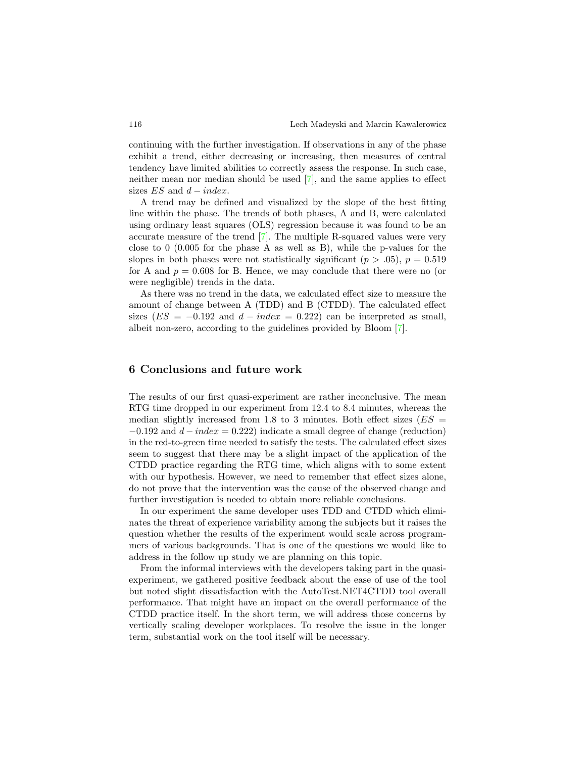continuing with the further investigation. If observations in any of the phase exhibit a trend, either decreasing or increasing, then measures of central tendency have limited abilities to correctly assess the response. In such case, neither mean nor median should be used [\[7\]](#page-12-12), and the same applies to effect sizes  $ES$  and  $d - index$ .

A trend may be defined and visualized by the slope of the best fitting line within the phase. The trends of both phases, A and B, were calculated using ordinary least squares (OLS) regression because it was found to be an accurate measure of the trend [\[7\]](#page-12-12). The multiple R-squared values were very close to 0 (0.005 for the phase A as well as B), while the p-values for the slopes in both phases were not statistically significant ( $p > .05$ ),  $p = 0.519$ for A and  $p = 0.608$  for B. Hence, we may conclude that there were no (or were negligible) trends in the data.

As there was no trend in the data, we calculated effect size to measure the amount of change between A (TDD) and B (CTDD). The calculated effect sizes  $(ES = -0.192$  and  $d - index = 0.222)$  can be interpreted as small, albeit non-zero, according to the guidelines provided by Bloom [\[7\]](#page-12-12).

#### 6 Conclusions and future work

The results of our first quasi-experiment are rather inconclusive. The mean RTG time dropped in our experiment from 12.4 to 8.4 minutes, whereas the median slightly increased from 1.8 to 3 minutes. Both effect sizes ( $ES =$  $-0.192$  and  $d - index = 0.222$ ) indicate a small degree of change (reduction) in the red-to-green time needed to satisfy the tests. The calculated effect sizes seem to suggest that there may be a slight impact of the application of the CTDD practice regarding the RTG time, which aligns with to some extent with our hypothesis. However, we need to remember that effect sizes alone, do not prove that the intervention was the cause of the observed change and further investigation is needed to obtain more reliable conclusions.

In our experiment the same developer uses TDD and CTDD which eliminates the threat of experience variability among the subjects but it raises the question whether the results of the experiment would scale across programmers of various backgrounds. That is one of the questions we would like to address in the follow up study we are planning on this topic.

From the informal interviews with the developers taking part in the quasiexperiment, we gathered positive feedback about the ease of use of the tool but noted slight dissatisfaction with the AutoTest.NET4CTDD tool overall performance. That might have an impact on the overall performance of the CTDD practice itself. In the short term, we will address those concerns by vertically scaling developer workplaces. To resolve the issue in the longer term, substantial work on the tool itself will be necessary.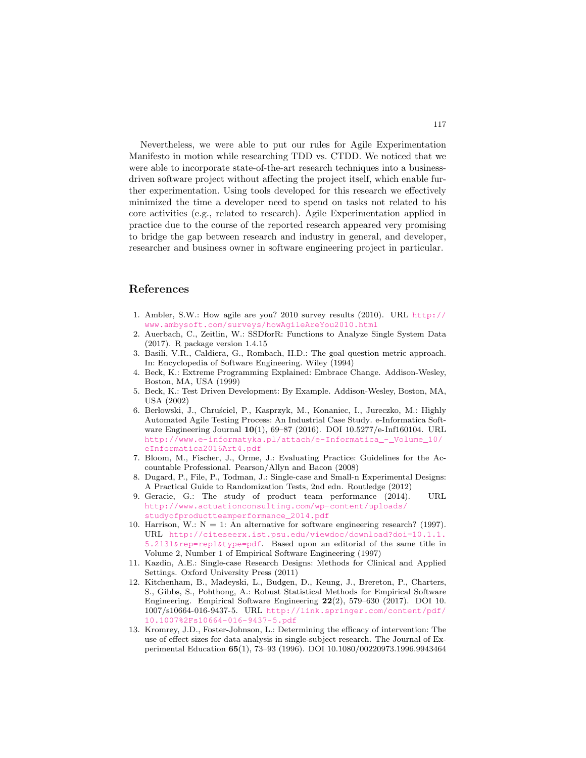Nevertheless, we were able to put our rules for Agile Experimentation Manifesto in motion while researching TDD vs. CTDD. We noticed that we were able to incorporate state-of-the-art research techniques into a businessdriven software project without affecting the project itself, which enable further experimentation. Using tools developed for this research we effectively minimized the time a developer need to spend on tasks not related to his core activities (e.g., related to research). Agile Experimentation applied in practice due to the course of the reported research appeared very promising to bridge the gap between research and industry in general, and developer, researcher and business owner in software engineering project in particular.

#### References

- <span id="page-12-3"></span>1. Ambler, S.W.: How agile are you? 2010 survey results (2010). URL [http://](http://www.ambysoft.com/surveys/howAgileAreYou2010.html) [www.ambysoft.com/surveys/howAgileAreYou2010.html](http://www.ambysoft.com/surveys/howAgileAreYou2010.html)
- <span id="page-12-9"></span>2. Auerbach, C., Zeitlin, W.: SSDforR: Functions to Analyze Single System Data (2017). R package version 1.4.15
- <span id="page-12-5"></span>3. Basili, V.R., Caldiera, G., Rombach, H.D.: The goal question metric approach. In: Encyclopedia of Software Engineering. Wiley (1994)
- <span id="page-12-2"></span>4. Beck, K.: Extreme Programming Explained: Embrace Change. Addison-Wesley, Boston, MA, USA (1999)
- <span id="page-12-1"></span>5. Beck, K.: Test Driven Development: By Example. Addison-Wesley, Boston, MA, USA (2002)
- <span id="page-12-4"></span>6. Berłowski, J., Chruściel, P., Kasprzyk, M., Konaniec, I., Jureczko, M.: Highly Automated Agile Testing Process: An Industrial Case Study. e-Informatica Software Engineering Journal 10(1), 69–87 (2016). DOI 10.5277/e-Inf160104. URL [http://www.e-informatyka.pl/attach/e-Informatica\\_-\\_Volume\\_10/](http://www.e-informatyka.pl/attach/e-Informatica_-_Volume_10/eInformatica2016Art4.pdf) [eInformatica2016Art4.pdf](http://www.e-informatyka.pl/attach/e-Informatica_-_Volume_10/eInformatica2016Art4.pdf)
- <span id="page-12-12"></span>7. Bloom, M., Fischer, J., Orme, J.: Evaluating Practice: Guidelines for the Accountable Professional. Pearson/Allyn and Bacon (2008)
- <span id="page-12-8"></span>8. Dugard, P., File, P., Todman, J.: Single-case and Small-n Experimental Designs: A Practical Guide to Randomization Tests, 2nd edn. Routledge (2012)
- <span id="page-12-0"></span>9. Geracie, G.: The study of product team performance (2014). URL [http://www.actuationconsulting.com/wp-content/uploads/](http://www.actuationconsulting.com/wp-content/uploads/studyofproductteamperformance_2014.pdf) [studyofproductteamperformance\\_2014.pdf](http://www.actuationconsulting.com/wp-content/uploads/studyofproductteamperformance_2014.pdf)
- <span id="page-12-7"></span>10. Harrison, W.:  $N = 1$ : An alternative for software engineering research? (1997). URL [http://citeseerx.ist.psu.edu/viewdoc/download?doi=10.1.1.](http://citeseerx.ist.psu.edu/viewdoc/download?doi=10.1.1.5.2131&rep=rep1&type=pdf) [5.2131&rep=rep1&type=pdf](http://citeseerx.ist.psu.edu/viewdoc/download?doi=10.1.1.5.2131&rep=rep1&type=pdf). Based upon an editorial of the same title in Volume 2, Number 1 of Empirical Software Engineering (1997)
- <span id="page-12-6"></span>11. Kazdin, A.E.: Single-case Research Designs: Methods for Clinical and Applied Settings. Oxford University Press (2011)
- <span id="page-12-10"></span>12. Kitchenham, B., Madeyski, L., Budgen, D., Keung, J., Brereton, P., Charters, S., Gibbs, S., Pohthong, A.: Robust Statistical Methods for Empirical Software Engineering. Empirical Software Engineering 22(2), 579–630 (2017). DOI 10. 1007/s10664-016-9437-5. URL [http://link.springer.com/content/pdf/](http://link.springer.com/content/pdf/10.1007%2Fs10664-016-9437-5.pdf) [10.1007%2Fs10664-016-9437-5.pdf](http://link.springer.com/content/pdf/10.1007%2Fs10664-016-9437-5.pdf)
- <span id="page-12-11"></span>13. Kromrey, J.D., Foster-Johnson, L.: Determining the efficacy of intervention: The use of effect sizes for data analysis in single-subject research. The Journal of Experimental Education 65(1), 73–93 (1996). DOI 10.1080/00220973.1996.9943464